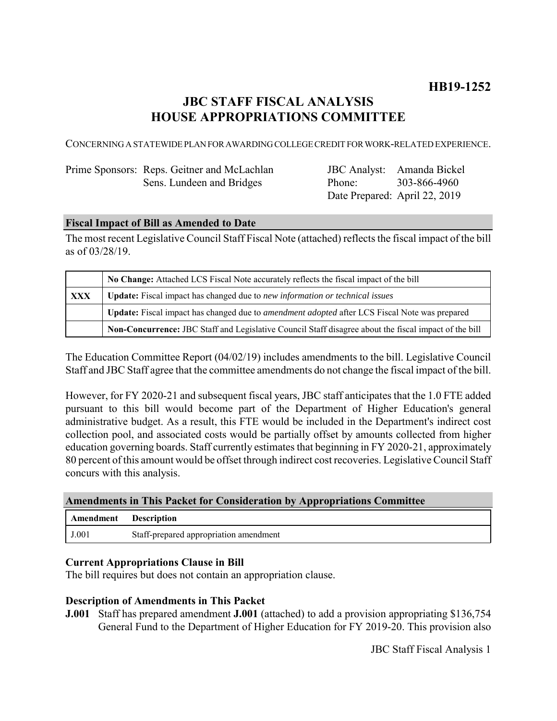# **JBC STAFF FISCAL ANALYSIS HOUSE APPROPRIATIONS COMMITTEE**

CONCERNING A STATEWIDE PLAN FOR AWARDING COLLEGE CREDIT FOR WORK-RELATED EXPERIENCE.

| Prime Sponsors: Reps. Geitner and McLachlan |
|---------------------------------------------|
| Sens. Lundeen and Bridges                   |

JBC Analyst: Amanda Bickel Phone: Date Prepared: April 22, 2019 303-866-4960

## **Fiscal Impact of Bill as Amended to Date**

The most recent Legislative Council Staff Fiscal Note (attached) reflects the fiscal impact of the bill as of 03/28/19.

|     | No Change: Attached LCS Fiscal Note accurately reflects the fiscal impact of the bill                       |  |
|-----|-------------------------------------------------------------------------------------------------------------|--|
| XXX | Update: Fiscal impact has changed due to new information or technical issues                                |  |
|     | <b>Update:</b> Fiscal impact has changed due to <i>amendment adopted</i> after LCS Fiscal Note was prepared |  |
|     | Non-Concurrence: JBC Staff and Legislative Council Staff disagree about the fiscal impact of the bill       |  |

The Education Committee Report (04/02/19) includes amendments to the bill. Legislative Council Staff and JBC Staff agree that the committee amendments do not change the fiscal impact of the bill.

However, for FY 2020-21 and subsequent fiscal years, JBC staff anticipates that the 1.0 FTE added pursuant to this bill would become part of the Department of Higher Education's general administrative budget. As a result, this FTE would be included in the Department's indirect cost collection pool, and associated costs would be partially offset by amounts collected from higher education governing boards. Staff currently estimates that beginning in FY 2020-21, approximately 80 percent of this amount would be offset through indirect cost recoveries. Legislative Council Staff concurs with this analysis.

#### **Amendments in This Packet for Consideration by Appropriations Committee**

| Amendment | <b>Description</b>                     |
|-----------|----------------------------------------|
| J.001     | Staff-prepared appropriation amendment |

#### **Current Appropriations Clause in Bill**

The bill requires but does not contain an appropriation clause.

#### **Description of Amendments in This Packet**

**J.001** Staff has prepared amendment **J.001** (attached) to add a provision appropriating \$136,754 General Fund to the Department of Higher Education for FY 2019-20. This provision also